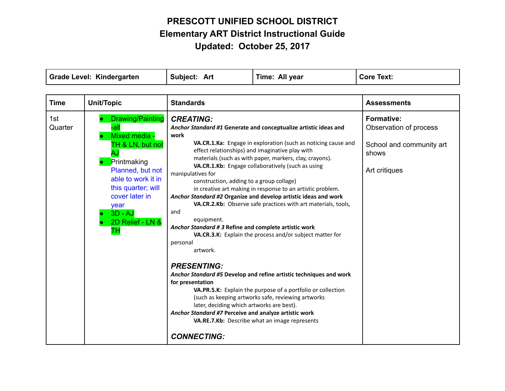| <b>Grade Level: Kindergarten</b> |                                                                                                                                                                                                                     | Subject: Art                                                                                                                                                                                                                                                                                                                                                          | Time: All year                                                                                                                                                                                                                                                                                                                                                                                                                                                                                                                                                                                                                                                                                                                                                                                                 | <b>Core Text:</b>                                                                                 |
|----------------------------------|---------------------------------------------------------------------------------------------------------------------------------------------------------------------------------------------------------------------|-----------------------------------------------------------------------------------------------------------------------------------------------------------------------------------------------------------------------------------------------------------------------------------------------------------------------------------------------------------------------|----------------------------------------------------------------------------------------------------------------------------------------------------------------------------------------------------------------------------------------------------------------------------------------------------------------------------------------------------------------------------------------------------------------------------------------------------------------------------------------------------------------------------------------------------------------------------------------------------------------------------------------------------------------------------------------------------------------------------------------------------------------------------------------------------------------|---------------------------------------------------------------------------------------------------|
|                                  |                                                                                                                                                                                                                     |                                                                                                                                                                                                                                                                                                                                                                       |                                                                                                                                                                                                                                                                                                                                                                                                                                                                                                                                                                                                                                                                                                                                                                                                                |                                                                                                   |
| <b>Time</b>                      | Unit/Topic                                                                                                                                                                                                          | <b>Standards</b>                                                                                                                                                                                                                                                                                                                                                      |                                                                                                                                                                                                                                                                                                                                                                                                                                                                                                                                                                                                                                                                                                                                                                                                                | <b>Assessments</b>                                                                                |
| 1st<br>Quarter                   | Drawing/Painting<br>-all<br>Mixed media -<br>TH & LN, but not<br>AJ<br>Printmaking<br>Planned, but not<br>able to work it in<br>this quarter; will<br>cover later in<br>year<br>$3D - AJ$<br>2D Relief - LN &<br>TН | <b>CREATING:</b><br>work<br>manipulatives for<br>construction, adding to a group collage)<br>and<br>equipment.<br>Anchor Standard # 3 Refine and complete artistic work<br>personal<br>artwork.<br><b>PRESENTING:</b><br>for presentation<br>later, deciding which artworks are best).<br>Anchor Standard #7 Perceive and analyze artistic work<br><b>CONNECTING:</b> | Anchor Standard #1 Generate and conceptualize artistic ideas and<br>VA.CR.1.Ka: Engage in exploration (such as noticing cause and<br>effect relationships) and imaginative play with<br>materials (such as with paper, markers, clay, crayons).<br>VA.CR.1.Kb: Engage collaboratively (such as using<br>in creative art making in response to an artistic problem.<br>Anchor Standard #2 Organize and develop artistic ideas and work<br>VA.CR.2.Kb: Observe safe practices with art materials, tools,<br>VA.CR.3.K: Explain the process and/or subject matter for<br>Anchor Standard #5 Develop and refine artistic techniques and work<br>VA.PR.5.K: Explain the purpose of a portfolio or collection<br>(such as keeping artworks safe, reviewing artworks<br>VA.RE.7.Kb: Describe what an image represents | <b>Formative:</b><br>Observation of process<br>School and community art<br>shows<br>Art critiques |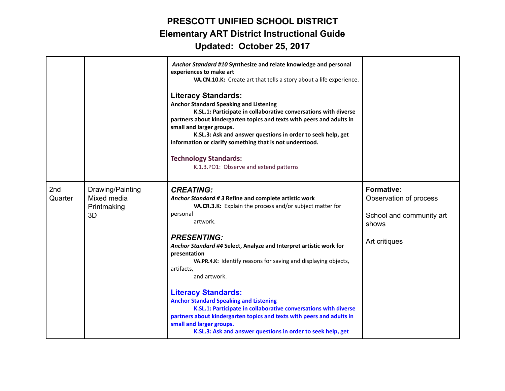|                            |                                                      | Anchor Standard #10 Synthesize and relate knowledge and personal<br>experiences to make art<br>VA.CN.10.K: Create art that tells a story about a life experience.<br><b>Literacy Standards:</b><br><b>Anchor Standard Speaking and Listening</b><br>K.SL.1: Participate in collaborative conversations with diverse<br>partners about kindergarten topics and texts with peers and adults in<br>small and larger groups.<br>K.SL.3: Ask and answer questions in order to seek help, get<br>information or clarify something that is not understood.<br><b>Technology Standards:</b><br>K.1.3.PO1: Observe and extend patterns |                                                                                                   |
|----------------------------|------------------------------------------------------|-------------------------------------------------------------------------------------------------------------------------------------------------------------------------------------------------------------------------------------------------------------------------------------------------------------------------------------------------------------------------------------------------------------------------------------------------------------------------------------------------------------------------------------------------------------------------------------------------------------------------------|---------------------------------------------------------------------------------------------------|
| 2 <sub>nd</sub><br>Quarter | Drawing/Painting<br>Mixed media<br>Printmaking<br>3D | <b>CREATING:</b><br>Anchor Standard # 3 Refine and complete artistic work<br>VA.CR.3.K: Explain the process and/or subject matter for<br>personal<br>artwork.<br><b>PRESENTING:</b><br>Anchor Standard #4 Select, Analyze and Interpret artistic work for<br>presentation<br>VA.PR.4.K: Identify reasons for saving and displaying objects,                                                                                                                                                                                                                                                                                   | <b>Formative:</b><br>Observation of process<br>School and community art<br>shows<br>Art critiques |
|                            |                                                      | artifacts,<br>and artwork.<br><b>Literacy Standards:</b><br><b>Anchor Standard Speaking and Listening</b><br>K.SL.1: Participate in collaborative conversations with diverse<br>partners about kindergarten topics and texts with peers and adults in<br>small and larger groups.<br>K.SL.3: Ask and answer questions in order to seek help, get                                                                                                                                                                                                                                                                              |                                                                                                   |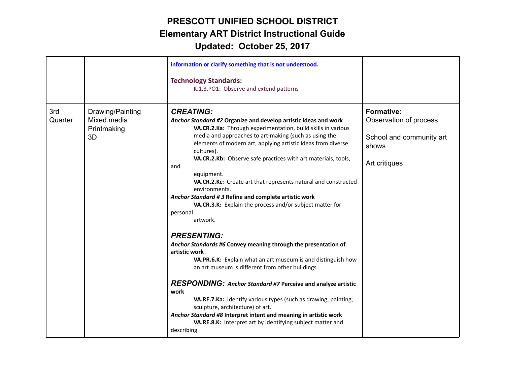|                |                                                      | information or clarify something that is not understood.<br><b>Technology Standards:</b><br>K.1.3.PO1: Observe and extend patterns                                                                                                                                                                                                                                                                                                                                                                                                                                                                                                                                                                                                                                                                                                                                                                                                                                                                                                                                                                                                                                                |                                                                                                   |
|----------------|------------------------------------------------------|-----------------------------------------------------------------------------------------------------------------------------------------------------------------------------------------------------------------------------------------------------------------------------------------------------------------------------------------------------------------------------------------------------------------------------------------------------------------------------------------------------------------------------------------------------------------------------------------------------------------------------------------------------------------------------------------------------------------------------------------------------------------------------------------------------------------------------------------------------------------------------------------------------------------------------------------------------------------------------------------------------------------------------------------------------------------------------------------------------------------------------------------------------------------------------------|---------------------------------------------------------------------------------------------------|
| 3rd<br>Quarter | Drawing/Painting<br>Mixed media<br>Printmaking<br>3D | <b>CREATING:</b><br>Anchor Standard #2 Organize and develop artistic ideas and work<br>VA.CR.2.Ka: Through experimentation, build skills in various<br>media and approaches to art-making (such as using the<br>elements of modern art, applying artistic ideas from diverse<br>cultures).<br>VA.CR.2.Kb: Observe safe practices with art materials, tools,<br>and<br>equipment.<br>VA.CR.2.Kc: Create art that represents natural and constructed<br>environments.<br>Anchor Standard #3 Refine and complete artistic work<br>VA.CR.3.K: Explain the process and/or subject matter for<br>personal<br>artwork.<br><b>PRESENTING:</b><br>Anchor Standards #6 Convey meaning through the presentation of<br>artistic work<br>VA.PR.6.K: Explain what an art museum is and distinguish how<br>an art museum is different from other buildings.<br><b>RESPONDING:</b> Anchor Standard #7 Perceive and analyze artistic<br>work<br>VA.RE.7.Ka: Identify various types (such as drawing, painting,<br>sculpture, architecture) of art.<br>Anchor Standard #8 Interpret intent and meaning in artistic work<br>VA.RE.8.K: Interpret art by identifying subject matter and<br>describing | <b>Formative:</b><br>Observation of process<br>School and community art<br>shows<br>Art critiques |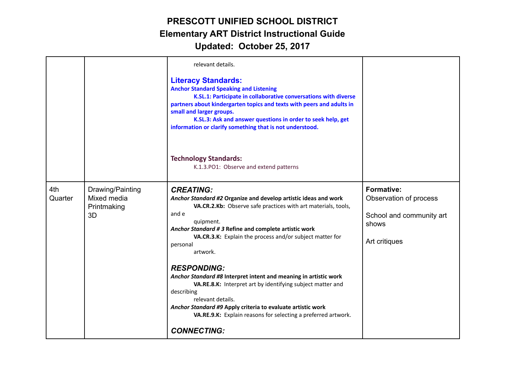|                |                                                      | relevant details.<br><b>Literacy Standards:</b><br><b>Anchor Standard Speaking and Listening</b><br>K.SL.1: Participate in collaborative conversations with diverse<br>partners about kindergarten topics and texts with peers and adults in<br>small and larger groups.<br>K.SL.3: Ask and answer questions in order to seek help, get<br>information or clarify something that is not understood.                                                                                                                                                                                                                                                                      |                                                                                                   |
|----------------|------------------------------------------------------|--------------------------------------------------------------------------------------------------------------------------------------------------------------------------------------------------------------------------------------------------------------------------------------------------------------------------------------------------------------------------------------------------------------------------------------------------------------------------------------------------------------------------------------------------------------------------------------------------------------------------------------------------------------------------|---------------------------------------------------------------------------------------------------|
|                |                                                      | <b>Technology Standards:</b><br>K.1.3.PO1: Observe and extend patterns                                                                                                                                                                                                                                                                                                                                                                                                                                                                                                                                                                                                   |                                                                                                   |
| 4th<br>Quarter | Drawing/Painting<br>Mixed media<br>Printmaking<br>3D | <b>CREATING:</b><br>Anchor Standard #2 Organize and develop artistic ideas and work<br>VA.CR.2.Kb: Observe safe practices with art materials, tools,<br>and e<br>quipment.<br>Anchor Standard # 3 Refine and complete artistic work<br>VA.CR.3.K: Explain the process and/or subject matter for<br>personal<br>artwork.<br><b>RESPONDING:</b><br>Anchor Standard #8 Interpret intent and meaning in artistic work<br>VA.RE.8.K: Interpret art by identifying subject matter and<br>describing<br>relevant details.<br>Anchor Standard #9 Apply criteria to evaluate artistic work<br>VA.RE.9.K: Explain reasons for selecting a preferred artwork.<br><b>CONNECTING:</b> | <b>Formative:</b><br>Observation of process<br>School and community art<br>shows<br>Art critiques |